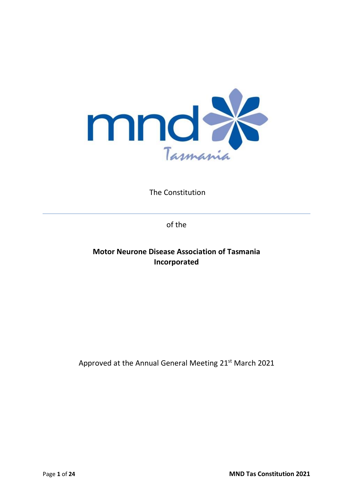

The Constitution

of the

# **Motor Neurone Disease Association of Tasmania Incorporated**

Approved at the Annual General Meeting 21st March 2021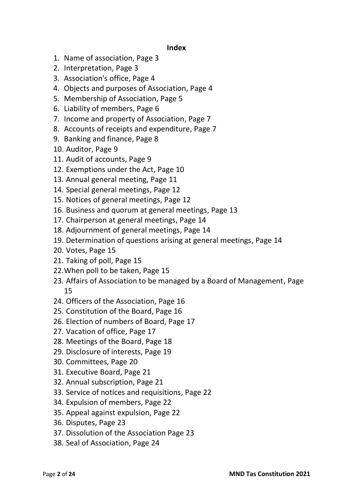#### **Index**

- 1. Name of association, Page 3
- 2. Interpretation, Page 3
- 3. Association's office, Page 4
- 4. Objects and purposes of Association, Page 4
- 5. Membership of Association, Page 5
- 6. Liability of members, Page 6
- 7. Income and property of Association, Page 7
- 8. Accounts of receipts and expenditure, Page 7
- 9. Banking and finance, Page 8
- 10. Auditor, Page 9
- 11. Audit of accounts, Page 9
- 12. Exemptions under the Act, Page 10
- 13. Annual general meeting, Page 11
- 14. Special general meetings, Page 12
- 15. Notices of general meetings, Page 12
- 16. Business and quorum at general meetings, Page 13
- 17. Chairperson at general meetings, Page 14
- 18. Adjournment of general meetings, Page 14
- 19. Determination of questions arising at general meetings, Page 14
- 20. Votes, Page 15
- 21. Taking of poll, Page 15
- 22.When poll to be taken, Page 15
- 23. Affairs of Association to be managed by a Board of Management, Page 15
- 24. Officers of the Association, Page 16
- 25. Constitution of the Board, Page 16
- 26. Election of numbers of Board, Page 17
- 27. Vacation of office, Page 17
- 28. Meetings of the Board, Page 18
- 29. Disclosure of interests, Page 19
- 30. Committees, Page 20
- 31. Executive Board, Page 21
- 32. Annual subscription, Page 21
- 33. Service of notices and requisitions, Page 22
- 34. Expulsion of members, Page 22
- 35. Appeal against expulsion, Page 22
- 36. Disputes, Page 23
- 37. Dissolution of the Association Page 23
- 38. Seal of Association, Page 24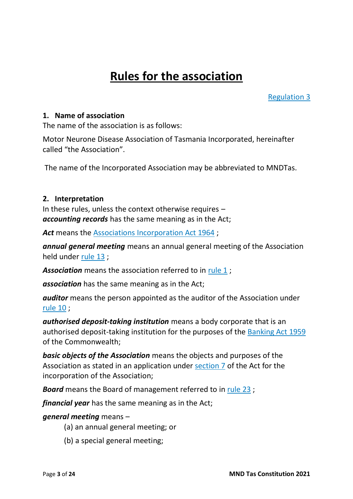# **Rules for the association**

[Regulation](https://www.legislation.tas.gov.au/view/whole/html/inforce/current/sr-2017-072?query=((PrintType%3D%22act.reprint%22+AND+Amending%3C%3E%22pure%22+AND+PitValid%3D%40pointInTime(20180129000000))+OR+(PrintType%3D%22act.reprint%22+AND+Amending%3D%22pure%22+AND+PitValid%3D%40pointInTime(20180129000000))+OR+(PrintType%3D%22reprint%22+AND+Amending%3C%3E%22pure%22+AND+PitValid%3D%40pointInTime(20180129000000))+OR+(PrintType%3D%22reprint%22+AND+Amending%3D%22pure%22+AND+PitValid%3D%40pointInTime(20180129000000)))+AND+Title%3D(%22association%22+AND+%22model%22+AND+%22rules%22)&dQuery=Document+Types%3D%22%3Cspan+class%3D) 3

#### **1. Name of association**

The name of the association is as follows:

Motor Neurone Disease Association of Tasmania Incorporated, hereinafter called "the Association".

The name of the Incorporated Association may be abbreviated to MNDTas.

#### **2. Interpretation**

In these rules, unless the context otherwise requires – *accounting records* has the same meaning as in the Act;

Act means the [Associations Incorporation Act 1964](https://www.legislation.tas.gov.au/view/html/inforce/2017-12-26/act-1964-064);

*annual general meeting* means an annual general meeting of the Association held under [rule](https://www.legislation.tas.gov.au/view/whole/html/inforce/current/sr-2017-072?query=((PrintType%3D%22act.reprint%22+AND+Amending%3C%3E%22pure%22+AND+PitValid%3D%40pointInTime(20180129000000))+OR+(PrintType%3D%22act.reprint%22+AND+Amending%3D%22pure%22+AND+PitValid%3D%40pointInTime(20180129000000))+OR+(PrintType%3D%22reprint%22+AND+Amending%3C%3E%22pure%22+AND+PitValid%3D%40pointInTime(20180129000000))+OR+(PrintType%3D%22reprint%22+AND+Amending%3D%22pure%22+AND+PitValid%3D%40pointInTime(20180129000000)))+AND+Title%3D(%22association%22+AND+%22model%22+AND+%22rules%22)&dQuery=Document+Types%3D%22%3Cspan+class%3D) 13 ;

*Association* means the association referred to in [rule](https://www.legislation.tas.gov.au/view/whole/html/inforce/current/sr-2017-072?query=((PrintType%3D%22act.reprint%22+AND+Amending%3C%3E%22pure%22+AND+PitValid%3D%40pointInTime(20180129000000))+OR+(PrintType%3D%22act.reprint%22+AND+Amending%3D%22pure%22+AND+PitValid%3D%40pointInTime(20180129000000))+OR+(PrintType%3D%22reprint%22+AND+Amending%3C%3E%22pure%22+AND+PitValid%3D%40pointInTime(20180129000000))+OR+(PrintType%3D%22reprint%22+AND+Amending%3D%22pure%22+AND+PitValid%3D%40pointInTime(20180129000000)))+AND+Title%3D(%22association%22+AND+%22model%22+AND+%22rules%22)&dQuery=Document+Types%3D%22%3Cspan+class%3D) 1 ;

*association* has the same meaning as in the Act;

*auditor* means the person appointed as the auditor of the Association under [rule](https://www.legislation.tas.gov.au/view/whole/html/inforce/current/sr-2017-072?query=((PrintType%3D%22act.reprint%22+AND+Amending%3C%3E%22pure%22+AND+PitValid%3D%40pointInTime(20180129000000))+OR+(PrintType%3D%22act.reprint%22+AND+Amending%3D%22pure%22+AND+PitValid%3D%40pointInTime(20180129000000))+OR+(PrintType%3D%22reprint%22+AND+Amending%3C%3E%22pure%22+AND+PitValid%3D%40pointInTime(20180129000000))+OR+(PrintType%3D%22reprint%22+AND+Amending%3D%22pure%22+AND+PitValid%3D%40pointInTime(20180129000000)))+AND+Title%3D(%22association%22+AND+%22model%22+AND+%22rules%22)&dQuery=Document+Types%3D%22%3Cspan+class%3D) 10 ;

*authorised deposit-taking institution* means a body corporate that is an authorised deposit-taking institution for the purposes of the [Banking Act 1959](https://www.legislation.tas.gov.au/view/html/inforce/2017-12-26/act-1959-999) of the Commonwealth;

*basic objects of the Association* means the objects and purposes of the Association as stated in an application under [section 7](https://www.legislation.tas.gov.au/view/html/inforce/2017-12-26/act-1964-064#GS7@EN) of the Act for the incorporation of the Association;

*Board* means the Board of management referred to in [rule](https://www.legislation.tas.gov.au/view/whole/html/inforce/current/sr-2017-072?query=((PrintType%3D%22act.reprint%22+AND+Amending%3C%3E%22pure%22+AND+PitValid%3D%40pointInTime(20180129000000))+OR+(PrintType%3D%22act.reprint%22+AND+Amending%3D%22pure%22+AND+PitValid%3D%40pointInTime(20180129000000))+OR+(PrintType%3D%22reprint%22+AND+Amending%3C%3E%22pure%22+AND+PitValid%3D%40pointInTime(20180129000000))+OR+(PrintType%3D%22reprint%22+AND+Amending%3D%22pure%22+AND+PitValid%3D%40pointInTime(20180129000000)))+AND+Title%3D(%22association%22+AND+%22model%22+AND+%22rules%22)&dQuery=Document+Types%3D%22%3Cspan+class%3D) 23 ;

*financial year* has the same meaning as in the Act;

#### *general meeting* means –

- (a) an annual general meeting; or
- (b) a special general meeting;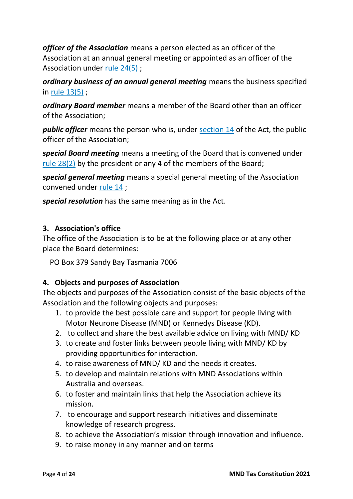*officer of the Association* means a person elected as an officer of the Association at an annual general meeting or appointed as an officer of the Association under rule [24\(5\)](https://www.legislation.tas.gov.au/view/whole/html/inforce/current/sr-2017-072?query=((PrintType%3D%22act.reprint%22+AND+Amending%3C%3E%22pure%22+AND+PitValid%3D%40pointInTime(20180129000000))+OR+(PrintType%3D%22act.reprint%22+AND+Amending%3D%22pure%22+AND+PitValid%3D%40pointInTime(20180129000000))+OR+(PrintType%3D%22reprint%22+AND+Amending%3C%3E%22pure%22+AND+PitValid%3D%40pointInTime(20180129000000))+OR+(PrintType%3D%22reprint%22+AND+Amending%3D%22pure%22+AND+PitValid%3D%40pointInTime(20180129000000)))+AND+Title%3D(%22association%22+AND+%22model%22+AND+%22rules%22)&dQuery=Document+Types%3D%22%3Cspan+class%3D) ;

*ordinary business of an annual general meeting* means the business specified in rule [13\(5\)](https://www.legislation.tas.gov.au/view/whole/html/inforce/current/sr-2017-072?query=((PrintType%3D%22act.reprint%22+AND+Amending%3C%3E%22pure%22+AND+PitValid%3D%40pointInTime(20180129000000))+OR+(PrintType%3D%22act.reprint%22+AND+Amending%3D%22pure%22+AND+PitValid%3D%40pointInTime(20180129000000))+OR+(PrintType%3D%22reprint%22+AND+Amending%3C%3E%22pure%22+AND+PitValid%3D%40pointInTime(20180129000000))+OR+(PrintType%3D%22reprint%22+AND+Amending%3D%22pure%22+AND+PitValid%3D%40pointInTime(20180129000000)))+AND+Title%3D(%22association%22+AND+%22model%22+AND+%22rules%22)&dQuery=Document+Types%3D%22%3Cspan+class%3D) ;

*ordinary Board member* means a member of the Board other than an officer of the Association;

*public officer* means the person who is, under [section 14](https://www.legislation.tas.gov.au/view/html/inforce/2017-12-26/act-1964-064#GS14@EN) of the Act, the public officer of the Association;

*special Board meeting* means a meeting of the Board that is convened under rule [28\(2\)](https://www.legislation.tas.gov.au/view/whole/html/inforce/current/sr-2017-072?query=((PrintType%3D%22act.reprint%22+AND+Amending%3C%3E%22pure%22+AND+PitValid%3D%40pointInTime(20180129000000))+OR+(PrintType%3D%22act.reprint%22+AND+Amending%3D%22pure%22+AND+PitValid%3D%40pointInTime(20180129000000))+OR+(PrintType%3D%22reprint%22+AND+Amending%3C%3E%22pure%22+AND+PitValid%3D%40pointInTime(20180129000000))+OR+(PrintType%3D%22reprint%22+AND+Amending%3D%22pure%22+AND+PitValid%3D%40pointInTime(20180129000000)))+AND+Title%3D(%22association%22+AND+%22model%22+AND+%22rules%22)&dQuery=Document+Types%3D%22%3Cspan+class%3D) by the president or any 4 of the members of the Board;

*special general meeting* means a special general meeting of the Association convened under [rule](https://www.legislation.tas.gov.au/view/whole/html/inforce/current/sr-2017-072?query=((PrintType%3D%22act.reprint%22+AND+Amending%3C%3E%22pure%22+AND+PitValid%3D%40pointInTime(20180129000000))+OR+(PrintType%3D%22act.reprint%22+AND+Amending%3D%22pure%22+AND+PitValid%3D%40pointInTime(20180129000000))+OR+(PrintType%3D%22reprint%22+AND+Amending%3C%3E%22pure%22+AND+PitValid%3D%40pointInTime(20180129000000))+OR+(PrintType%3D%22reprint%22+AND+Amending%3D%22pure%22+AND+PitValid%3D%40pointInTime(20180129000000)))+AND+Title%3D(%22association%22+AND+%22model%22+AND+%22rules%22)&dQuery=Document+Types%3D%22%3Cspan+class%3D) 14 ;

*special resolution* has the same meaning as in the Act.

#### **3. Association's office**

The office of the Association is to be at the following place or at any other place the Board determines:

PO Box 379 Sandy Bay Tasmania 7006

#### **4. Objects and purposes of Association**

The objects and purposes of the Association consist of the basic objects of the Association and the following objects and purposes:

- 1. to provide the best possible care and support for people living with Motor Neurone Disease (MND) or Kennedys Disease (KD).
- 2. to collect and share the best available advice on living with MND/ KD
- 3. to create and foster links between people living with MND/ KD by providing opportunities for interaction.
- 4. to raise awareness of MND/ KD and the needs it creates.
- 5. to develop and maintain relations with MND Associations within Australia and overseas.
- 6. to foster and maintain links that help the Association achieve its mission.
- 7. to encourage and support research initiatives and disseminate knowledge of research progress.
- 8. to achieve the Association's mission through innovation and influence.
- 9. to raise money in any manner and on terms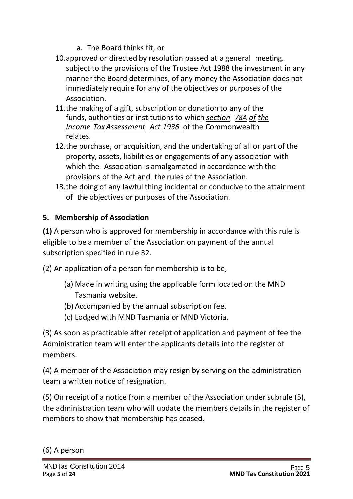- a. The Board thinks fit, or
- 10.approved or directed by resolution passed at a general meeting. subject to the provisions of the Trustee Act 1988 the investment in any manner the Board determines, of any money the Association does not immediately require for any of the objectives or purposes of the Association.
- 11.the making of a gift, subscription or donation to any of the funds, authorities or institutionsto which *section 78A of the Income TaxAssessment Act 1936* of the Commonwealth relates.
- 12.the purchase, or acquisition, and the undertaking of all or part of the property, assets, liabilities or engagements of any association with which the Association is amalgamated in accordance with the provisions of the Act and the rules of the Association.
- 13.the doing of any lawful thing incidental or conducive to the attainment of the objectives or purposes of the Association.

# **5. Membership of Association**

**(1)** A person who is approved for membership in accordance with this rule is eligible to be a member of the Association on payment of the annual subscription specified in rule 32.

(2) An application of a person for membership is to be,

- (a) Made in writing using the applicable form located on the MND Tasmania website.
- (b) Accompanied by the annual subscription fee.
- (c) Lodged with MND Tasmania or MND Victoria.

(3) As soon as practicable after receipt of application and payment of fee the Administration team will enter the applicants details into the register of members.

(4) A member of the Association may resign by serving on the administration team a written notice of resignation.

(5) On receipt of a notice from a member of the Association under subrule (5), the administration team who will update the members details in the register of members to show that membership has ceased.

(6) A person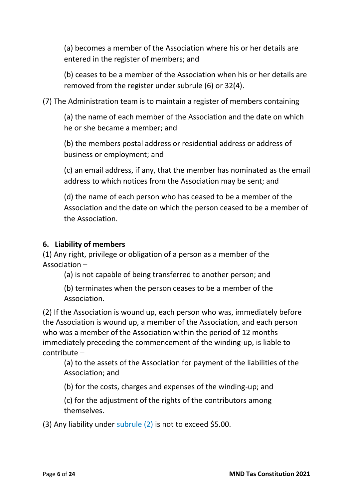(a) becomes a member of the Association where his or her details are entered in the register of members; and

(b) ceases to be a member of the Association when his or her details are removed from the register under subrule (6) or 32(4).

(7) The Administration team is to maintain a register of members containing

(a) the name of each member of the Association and the date on which he or she became a member; and

(b) the members postal address or residential address or address of business or employment; and

(c) an email address, if any, that the member has nominated as the email address to which notices from the Association may be sent; and

(d) the name of each person who has ceased to be a member of the Association and the date on which the person ceased to be a member of the Association.

## **6. Liability of members**

(1) Any right, privilege or obligation of a person as a member of the Association –

(a) is not capable of being transferred to another person; and

(b) terminates when the person ceases to be a member of the Association.

(2) If the Association is wound up, each person who was, immediately before the Association is wound up, a member of the Association, and each person who was a member of the Association within the period of 12 months immediately preceding the commencement of the winding-up, is liable to contribute –

(a) to the assets of the Association for payment of the liabilities of the Association; and

(b) for the costs, charges and expenses of the winding-up; and

(c) for the adjustment of the rights of the contributors among themselves.

(3) Any liability under [subrule](https://www.legislation.tas.gov.au/view/whole/html/inforce/current/sr-2017-072?query=((PrintType%3D%22act.reprint%22+AND+Amending%3C%3E%22pure%22+AND+PitValid%3D%40pointInTime(20180129000000))+OR+(PrintType%3D%22act.reprint%22+AND+Amending%3D%22pure%22+AND+PitValid%3D%40pointInTime(20180129000000))+OR+(PrintType%3D%22reprint%22+AND+Amending%3C%3E%22pure%22+AND+PitValid%3D%40pointInTime(20180129000000))+OR+(PrintType%3D%22reprint%22+AND+Amending%3D%22pure%22+AND+PitValid%3D%40pointInTime(20180129000000)))+AND+Title%3D(%22association%22+AND+%22model%22+AND+%22rules%22)&dQuery=Document+Types%3D%22%3Cspan+class%3D) (2) is not to exceed \$5.00.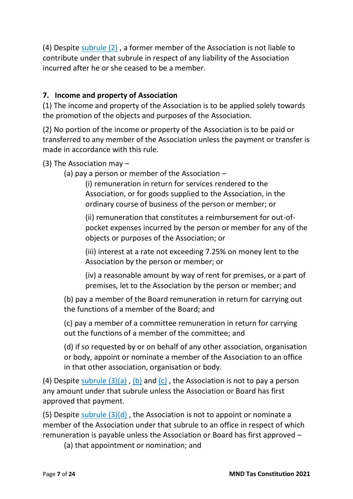(4) Despite [subrule](https://www.legislation.tas.gov.au/view/whole/html/inforce/current/sr-2017-072?query=((PrintType%3D%22act.reprint%22+AND+Amending%3C%3E%22pure%22+AND+PitValid%3D%40pointInTime(20180129000000))+OR+(PrintType%3D%22act.reprint%22+AND+Amending%3D%22pure%22+AND+PitValid%3D%40pointInTime(20180129000000))+OR+(PrintType%3D%22reprint%22+AND+Amending%3C%3E%22pure%22+AND+PitValid%3D%40pointInTime(20180129000000))+OR+(PrintType%3D%22reprint%22+AND+Amending%3D%22pure%22+AND+PitValid%3D%40pointInTime(20180129000000)))+AND+Title%3D(%22association%22+AND+%22model%22+AND+%22rules%22)&dQuery=Document+Types%3D%22%3Cspan+class%3D) (2) , a former member of the Association is not liable to contribute under that subrule in respect of any liability of the Association incurred after he or she ceased to be a member.

## **7. Income and property of Association**

(1) The income and property of the Association is to be applied solely towards the promotion of the objects and purposes of the Association.

(2) No portion of the income or property of the Association is to be paid or transferred to any member of the Association unless the payment or transfer is made in accordance with this rule.

(3) The Association may –

(a) pay a person or member of the Association –

(i) remuneration in return for services rendered to the Association, or for goods supplied to the Association, in the ordinary course of business of the person or member; or

(ii) remuneration that constitutes a reimbursement for out-ofpocket expenses incurred by the person or member for any of the objects or purposes of the Association; or

(iii) interest at a rate not exceeding 7.25% on money lent to the Association by the person or member; or

(iv) a reasonable amount by way of rent for premises, or a part of premises, let to the Association by the person or member; and

(b) pay a member of the Board remuneration in return for carrying out the functions of a member of the Board; and

(c) pay a member of a committee remuneration in return for carrying out the functions of a member of the committee; and

(d) if so requested by or on behalf of any other association, organisation or body, appoint or nominate a member of the Association to an office in that other association, organisation or body.

(4) Despite [subrule](https://www.legislation.tas.gov.au/view/whole/html/inforce/current/sr-2017-072?query=((PrintType%3D%22act.reprint%22+AND+Amending%3C%3E%22pure%22+AND+PitValid%3D%40pointInTime(20180129000000))+OR+(PrintType%3D%22act.reprint%22+AND+Amending%3D%22pure%22+AND+PitValid%3D%40pointInTime(20180129000000))+OR+(PrintType%3D%22reprint%22+AND+Amending%3C%3E%22pure%22+AND+PitValid%3D%40pointInTime(20180129000000))+OR+(PrintType%3D%22reprint%22+AND+Amending%3D%22pure%22+AND+PitValid%3D%40pointInTime(20180129000000)))+AND+Title%3D(%22association%22+AND+%22model%22+AND+%22rules%22)&dQuery=Document+Types%3D%22%3Cspan+class%3D)  $(3)(a)$ , [\(b\)](https://www.legislation.tas.gov.au/view/whole/html/inforce/current/sr-2017-072?query=((PrintType%3D%22act.reprint%22+AND+Amending%3C%3E%22pure%22+AND+PitValid%3D%40pointInTime(20180129000000))+OR+(PrintType%3D%22act.reprint%22+AND+Amending%3D%22pure%22+AND+PitValid%3D%40pointInTime(20180129000000))+OR+(PrintType%3D%22reprint%22+AND+Amending%3C%3E%22pure%22+AND+PitValid%3D%40pointInTime(20180129000000))+OR+(PrintType%3D%22reprint%22+AND+Amending%3D%22pure%22+AND+PitValid%3D%40pointInTime(20180129000000)))+AND+Title%3D(%22association%22+AND+%22model%22+AND+%22rules%22)&dQuery=Document+Types%3D%22%3Cspan+class%3D) and  $(c)$ , the Association is not to pay a person any amount under that subrule unless the Association or Board has first approved that payment.

(5) Despite [subrule](https://www.legislation.tas.gov.au/view/whole/html/inforce/current/sr-2017-072?query=((PrintType%3D%22act.reprint%22+AND+Amending%3C%3E%22pure%22+AND+PitValid%3D%40pointInTime(20180129000000))+OR+(PrintType%3D%22act.reprint%22+AND+Amending%3D%22pure%22+AND+PitValid%3D%40pointInTime(20180129000000))+OR+(PrintType%3D%22reprint%22+AND+Amending%3C%3E%22pure%22+AND+PitValid%3D%40pointInTime(20180129000000))+OR+(PrintType%3D%22reprint%22+AND+Amending%3D%22pure%22+AND+PitValid%3D%40pointInTime(20180129000000)))+AND+Title%3D(%22association%22+AND+%22model%22+AND+%22rules%22)&dQuery=Document+Types%3D%22%3Cspan+class%3D)  $(3)(d)$ , the Association is not to appoint or nominate a member of the Association under that subrule to an office in respect of which remuneration is payable unless the Association or Board has first approved –

(a) that appointment or nomination; and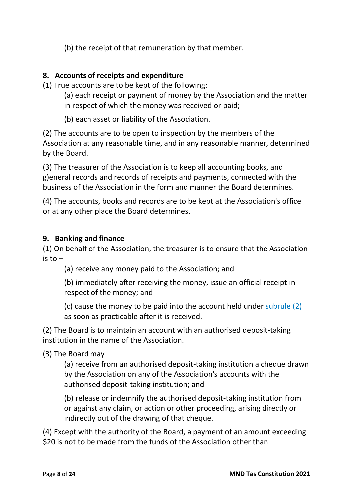(b) the receipt of that remuneration by that member.

## **8. Accounts of receipts and expenditure**

(1) True accounts are to be kept of the following:

- (a) each receipt or payment of money by the Association and the matter in respect of which the money was received or paid;
- (b) each asset or liability of the Association.

(2) The accounts are to be open to inspection by the members of the Association at any reasonable time, and in any reasonable manner, determined by the Board.

(3) The treasurer of the Association is to keep all accounting books, and g)eneral records and records of receipts and payments, connected with the business of the Association in the form and manner the Board determines.

(4) The accounts, books and records are to be kept at the Association's office or at any other place the Board determines.

## **9. Banking and finance**

(1) On behalf of the Association, the treasurer is to ensure that the Association is  $to -$ 

(a) receive any money paid to the Association; and

(b) immediately after receiving the money, issue an official receipt in respect of the money; and

(c) cause the money to be paid into the account held under [subrule](https://www.legislation.tas.gov.au/view/whole/html/inforce/current/sr-2017-072?query=((PrintType%3D%22act.reprint%22+AND+Amending%3C%3E%22pure%22+AND+PitValid%3D%40pointInTime(20180129000000))+OR+(PrintType%3D%22act.reprint%22+AND+Amending%3D%22pure%22+AND+PitValid%3D%40pointInTime(20180129000000))+OR+(PrintType%3D%22reprint%22+AND+Amending%3C%3E%22pure%22+AND+PitValid%3D%40pointInTime(20180129000000))+OR+(PrintType%3D%22reprint%22+AND+Amending%3D%22pure%22+AND+PitValid%3D%40pointInTime(20180129000000)))+AND+Title%3D(%22association%22+AND+%22model%22+AND+%22rules%22)&dQuery=Document+Types%3D%22%3Cspan+class%3D) (2) as soon as practicable after it is received.

(2) The Board is to maintain an account with an authorised deposit-taking institution in the name of the Association.

(3) The Board may –

(a) receive from an authorised deposit-taking institution a cheque drawn by the Association on any of the Association's accounts with the authorised deposit-taking institution; and

(b) release or indemnify the authorised deposit-taking institution from or against any claim, or action or other proceeding, arising directly or indirectly out of the drawing of that cheque.

(4) Except with the authority of the Board, a payment of an amount exceeding \$20 is not to be made from the funds of the Association other than  $-$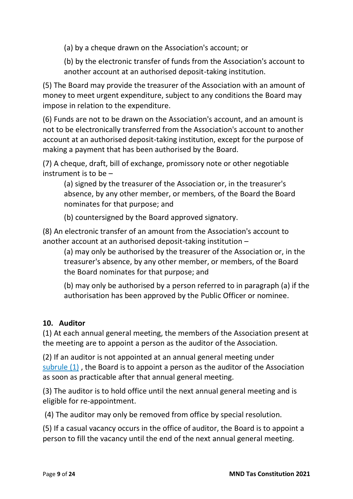(a) by a cheque drawn on the Association's account; or

(b) by the electronic transfer of funds from the Association's account to another account at an authorised deposit-taking institution.

(5) The Board may provide the treasurer of the Association with an amount of money to meet urgent expenditure, subject to any conditions the Board may impose in relation to the expenditure.

(6) Funds are not to be drawn on the Association's account, and an amount is not to be electronically transferred from the Association's account to another account at an authorised deposit-taking institution, except for the purpose of making a payment that has been authorised by the Board.

(7) A cheque, draft, bill of exchange, promissory note or other negotiable instrument is to be –

(a) signed by the treasurer of the Association or, in the treasurer's absence, by any other member, or members, of the Board the Board nominates for that purpose; and

(b) countersigned by the Board approved signatory.

(8) An electronic transfer of an amount from the Association's account to another account at an authorised deposit-taking institution –

(a) may only be authorised by the treasurer of the Association or, in the treasurer's absence, by any other member, or members, of the Board the Board nominates for that purpose; and

(b) may only be authorised by a person referred to in paragraph (a) if the authorisation has been approved by the Public Officer or nominee.

#### **10. Auditor**

(1) At each annual general meeting, the members of the Association present at the meeting are to appoint a person as the auditor of the Association.

(2) If an auditor is not appointed at an annual general meeting under [subrule](https://www.legislation.tas.gov.au/view/whole/html/inforce/current/sr-2017-072?query=((PrintType%3D%22act.reprint%22+AND+Amending%3C%3E%22pure%22+AND+PitValid%3D%40pointInTime(20180129000000))+OR+(PrintType%3D%22act.reprint%22+AND+Amending%3D%22pure%22+AND+PitValid%3D%40pointInTime(20180129000000))+OR+(PrintType%3D%22reprint%22+AND+Amending%3C%3E%22pure%22+AND+PitValid%3D%40pointInTime(20180129000000))+OR+(PrintType%3D%22reprint%22+AND+Amending%3D%22pure%22+AND+PitValid%3D%40pointInTime(20180129000000)))+AND+Title%3D(%22association%22+AND+%22model%22+AND+%22rules%22)&dQuery=Document+Types%3D%22%3Cspan+class%3D)  $(1)$ , the Board is to appoint a person as the auditor of the Association as soon as practicable after that annual general meeting.

(3) The auditor is to hold office until the next annual general meeting and is eligible for re-appointment.

(4) The auditor may only be removed from office by special resolution.

(5) If a casual vacancy occurs in the office of auditor, the Board is to appoint a person to fill the vacancy until the end of the next annual general meeting.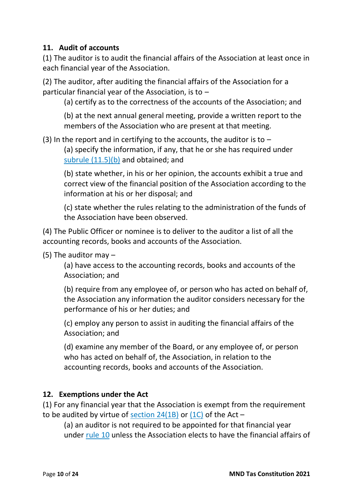#### **11. Audit of accounts**

(1) The auditor is to audit the financial affairs of the Association at least once in each financial year of the Association.

(2) The auditor, after auditing the financial affairs of the Association for a particular financial year of the Association, is to  $-$ 

(a) certify as to the correctness of the accounts of the Association; and

(b) at the next annual general meeting, provide a written report to the members of the Association who are present at that meeting.

(3) In the report and in certifying to the accounts, the auditor is to  $-$ 

(a) specify the information, if any, that he or she has required under subrule [\(11.5\)\(b\)](https://www.legislation.tas.gov.au/view/whole/html/inforce/current/sr-2017-072?query=((PrintType%3D%22act.reprint%22+AND+Amending%3C%3E%22pure%22+AND+PitValid%3D%40pointInTime(20180129000000))+OR+(PrintType%3D%22act.reprint%22+AND+Amending%3D%22pure%22+AND+PitValid%3D%40pointInTime(20180129000000))+OR+(PrintType%3D%22reprint%22+AND+Amending%3C%3E%22pure%22+AND+PitValid%3D%40pointInTime(20180129000000))+OR+(PrintType%3D%22reprint%22+AND+Amending%3D%22pure%22+AND+PitValid%3D%40pointInTime(20180129000000)))+AND+Title%3D(%22association%22+AND+%22model%22+AND+%22rules%22)&dQuery=Document+Types%3D%22%3Cspan+class%3D) and obtained; and

(b) state whether, in his or her opinion, the accounts exhibit a true and correct view of the financial position of the Association according to the information at his or her disposal; and

(c) state whether the rules relating to the administration of the funds of the Association have been observed.

(4) The Public Officer or nominee is to deliver to the auditor a list of all the accounting records, books and accounts of the Association.

(5) The auditor may –

(a) have access to the accounting records, books and accounts of the Association; and

(b) require from any employee of, or person who has acted on behalf of, the Association any information the auditor considers necessary for the performance of his or her duties; and

(c) employ any person to assist in auditing the financial affairs of the Association; and

(d) examine any member of the Board, or any employee of, or person who has acted on behalf of, the Association, in relation to the accounting records, books and accounts of the Association.

# **12. Exemptions under the Act**

(1) For any financial year that the Association is exempt from the requirement to be audited by virtue of [section 24\(1B\)](https://www.legislation.tas.gov.au/view/html/inforce/2017-12-26/act-1964-064#GS24@Gs1B@EN) or [\(1C\)](https://www.legislation.tas.gov.au/view/html/inforce/2017-12-26/act-1964-064#GS24@Gs1C@EN) of the Act –

(a) an auditor is not required to be appointed for that financial year under [rule](https://www.legislation.tas.gov.au/view/whole/html/inforce/current/sr-2017-072?query=((PrintType%3D%22act.reprint%22+AND+Amending%3C%3E%22pure%22+AND+PitValid%3D%40pointInTime(20180129000000))+OR+(PrintType%3D%22act.reprint%22+AND+Amending%3D%22pure%22+AND+PitValid%3D%40pointInTime(20180129000000))+OR+(PrintType%3D%22reprint%22+AND+Amending%3C%3E%22pure%22+AND+PitValid%3D%40pointInTime(20180129000000))+OR+(PrintType%3D%22reprint%22+AND+Amending%3D%22pure%22+AND+PitValid%3D%40pointInTime(20180129000000)))+AND+Title%3D(%22association%22+AND+%22model%22+AND+%22rules%22)&dQuery=Document+Types%3D%22%3Cspan+class%3D) 10 unless the Association elects to have the financial affairs of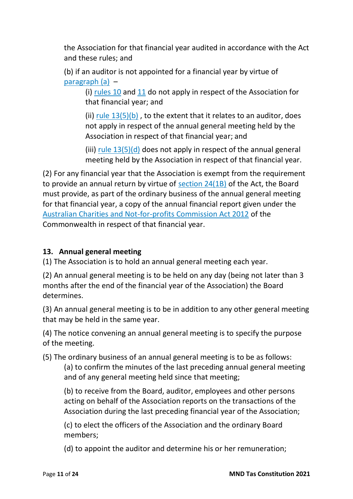the Association for that financial year audited in accordance with the Act and these rules; and

(b) if an auditor is not appointed for a financial year by virtue of [paragraph](https://www.legislation.tas.gov.au/view/whole/html/inforce/current/sr-2017-072?query=((PrintType%3D%22act.reprint%22+AND+Amending%3C%3E%22pure%22+AND+PitValid%3D%40pointInTime(20180129000000))+OR+(PrintType%3D%22act.reprint%22+AND+Amending%3D%22pure%22+AND+PitValid%3D%40pointInTime(20180129000000))+OR+(PrintType%3D%22reprint%22+AND+Amending%3C%3E%22pure%22+AND+PitValid%3D%40pointInTime(20180129000000))+OR+(PrintType%3D%22reprint%22+AND+Amending%3D%22pure%22+AND+PitValid%3D%40pointInTime(20180129000000)))+AND+Title%3D(%22association%22+AND+%22model%22+AND+%22rules%22)&dQuery=Document+Types%3D%22%3Cspan+class%3D) (a) –

(i) [rules](https://www.legislation.tas.gov.au/view/whole/html/inforce/current/sr-2017-072?query=((PrintType%3D%22act.reprint%22+AND+Amending%3C%3E%22pure%22+AND+PitValid%3D%40pointInTime(20180129000000))+OR+(PrintType%3D%22act.reprint%22+AND+Amending%3D%22pure%22+AND+PitValid%3D%40pointInTime(20180129000000))+OR+(PrintType%3D%22reprint%22+AND+Amending%3C%3E%22pure%22+AND+PitValid%3D%40pointInTime(20180129000000))+OR+(PrintType%3D%22reprint%22+AND+Amending%3D%22pure%22+AND+PitValid%3D%40pointInTime(20180129000000)))+AND+Title%3D(%22association%22+AND+%22model%22+AND+%22rules%22)&dQuery=Document+Types%3D%22%3Cspan+class%3D) 10 and [11](https://www.legislation.tas.gov.au/view/whole/html/inforce/current/sr-2017-072?query=((PrintType%3D%22act.reprint%22+AND+Amending%3C%3E%22pure%22+AND+PitValid%3D%40pointInTime(20180129000000))+OR+(PrintType%3D%22act.reprint%22+AND+Amending%3D%22pure%22+AND+PitValid%3D%40pointInTime(20180129000000))+OR+(PrintType%3D%22reprint%22+AND+Amending%3C%3E%22pure%22+AND+PitValid%3D%40pointInTime(20180129000000))+OR+(PrintType%3D%22reprint%22+AND+Amending%3D%22pure%22+AND+PitValid%3D%40pointInTime(20180129000000)))+AND+Title%3D(%22association%22+AND+%22model%22+AND+%22rules%22)&dQuery=Document+Types%3D%22%3Cspan+class%3D) do not apply in respect of the Association for that financial year; and

(ii) rule  $13(5)(b)$ , to the extent that it relates to an auditor, does not apply in respect of the annual general meeting held by the Association in respect of that financial year; and

(iii) rule  $13(5)(d)$  does not apply in respect of the annual general meeting held by the Association in respect of that financial year.

(2) For any financial year that the Association is exempt from the requirement to provide an annual return by virtue of [section 24\(1B\)](https://www.legislation.tas.gov.au/view/html/inforce/2017-12-26/act-1964-064#GS24@Gs1B@EN) of the Act, the Board must provide, as part of the ordinary business of the annual general meeting for that financial year, a copy of the annual financial report given under the [Australian Charities and Not-for-profits Commission Act 2012](https://www.legislation.tas.gov.au/view/html/inforce/2017-12-26/act-2012-999) of the Commonwealth in respect of that financial year.

# **13. Annual general meeting**

(1) The Association is to hold an annual general meeting each year.

(2) An annual general meeting is to be held on any day (being not later than 3 months after the end of the financial year of the Association) the Board determines.

(3) An annual general meeting is to be in addition to any other general meeting that may be held in the same year.

(4) The notice convening an annual general meeting is to specify the purpose of the meeting.

(5) The ordinary business of an annual general meeting is to be as follows:

(a) to confirm the minutes of the last preceding annual general meeting and of any general meeting held since that meeting;

(b) to receive from the Board, auditor, employees and other persons acting on behalf of the Association reports on the transactions of the Association during the last preceding financial year of the Association;

(c) to elect the officers of the Association and the ordinary Board members;

(d) to appoint the auditor and determine his or her remuneration;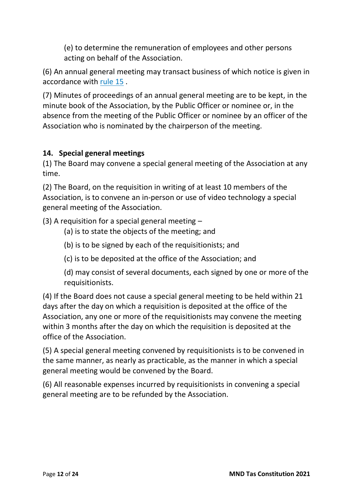(e) to determine the remuneration of employees and other persons acting on behalf of the Association.

(6) An annual general meeting may transact business of which notice is given in accordance with [rule](https://www.legislation.tas.gov.au/view/whole/html/inforce/current/sr-2017-072?query=((PrintType%3D%22act.reprint%22+AND+Amending%3C%3E%22pure%22+AND+PitValid%3D%40pointInTime(20180129000000))+OR+(PrintType%3D%22act.reprint%22+AND+Amending%3D%22pure%22+AND+PitValid%3D%40pointInTime(20180129000000))+OR+(PrintType%3D%22reprint%22+AND+Amending%3C%3E%22pure%22+AND+PitValid%3D%40pointInTime(20180129000000))+OR+(PrintType%3D%22reprint%22+AND+Amending%3D%22pure%22+AND+PitValid%3D%40pointInTime(20180129000000)))+AND+Title%3D(%22association%22+AND+%22model%22+AND+%22rules%22)&dQuery=Document+Types%3D%22%3Cspan+class%3D) 15 .

(7) Minutes of proceedings of an annual general meeting are to be kept, in the minute book of the Association, by the Public Officer or nominee or, in the absence from the meeting of the Public Officer or nominee by an officer of the Association who is nominated by the chairperson of the meeting.

## **14. Special general meetings**

(1) The Board may convene a special general meeting of the Association at any time.

(2) The Board, on the requisition in writing of at least 10 members of the Association, is to convene an in-person or use of video technology a special general meeting of the Association.

(3) A requisition for a special general meeting –

- (a) is to state the objects of the meeting; and
- (b) is to be signed by each of the requisitionists; and
- (c) is to be deposited at the office of the Association; and

(d) may consist of several documents, each signed by one or more of the requisitionists.

(4) If the Board does not cause a special general meeting to be held within 21 days after the day on which a requisition is deposited at the office of the Association, any one or more of the requisitionists may convene the meeting within 3 months after the day on which the requisition is deposited at the office of the Association.

(5) A special general meeting convened by requisitionists is to be convened in the same manner, as nearly as practicable, as the manner in which a special general meeting would be convened by the Board.

(6) All reasonable expenses incurred by requisitionists in convening a special general meeting are to be refunded by the Association.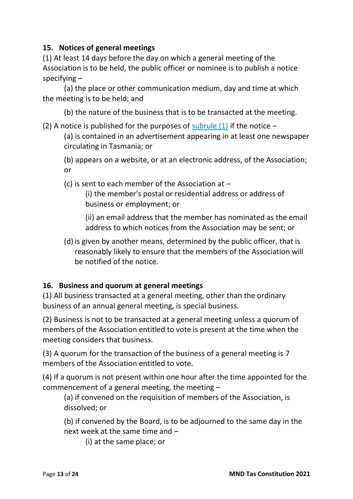#### **15. Notices of general meetings**

(1) At least 14 days before the day on which a general meeting of the Association is to be held, the public officer or nominee is to publish a notice specifying –

(a) the place or other communication medium, day and time at which the meeting is to be held; and

(b) the nature of the business that is to be transacted at the meeting.

(2) A notice is published for the purposes of [subrule](https://www.legislation.tas.gov.au/view/whole/html/inforce/current/sr-2017-072?query=((PrintType%3D%22act.reprint%22+AND+Amending%3C%3E%22pure%22+AND+PitValid%3D%40pointInTime(20180129000000))+OR+(PrintType%3D%22act.reprint%22+AND+Amending%3D%22pure%22+AND+PitValid%3D%40pointInTime(20180129000000))+OR+(PrintType%3D%22reprint%22+AND+Amending%3C%3E%22pure%22+AND+PitValid%3D%40pointInTime(20180129000000))+OR+(PrintType%3D%22reprint%22+AND+Amending%3D%22pure%22+AND+PitValid%3D%40pointInTime(20180129000000)))+AND+Title%3D(%22association%22+AND+%22model%22+AND+%22rules%22)&dQuery=Document+Types%3D%22%3Cspan+class%3D)  $(1)$  if the notice –

(a) is contained in an advertisement appearing in at least one newspaper circulating in Tasmania; or

(b) appears on a website, or at an electronic address, of the Association; or

(c) is sent to each member of the Association at –

(i) the member's postal or residential address or address of business or employment; or

(ii) an email address that the member has nominated as the email address to which notices from the Association may be sent; or

(d) is given by another means, determined by the public officer, that is reasonably likely to ensure that the members of the Association will be notified of the notice.

# **16. Business and quorum at general meetings**

(1) All business transacted at a general meeting, other than the ordinary business of an annual general meeting, is special business.

(2) Business is not to be transacted at a general meeting unless a quorum of members of the Association entitled to vote is present at the time when the meeting considers that business.

(3) A quorum for the transaction of the business of a general meeting is 7 members of the Association entitled to vote.

(4) If a quorum is not present within one hour after the time appointed for the commencement of a general meeting, the meeting –

(a) if convened on the requisition of members of the Association, is dissolved; or

(b) if convened by the Board, is to be adjourned to the same day in the next week at the same time and –

(i) at the same place; or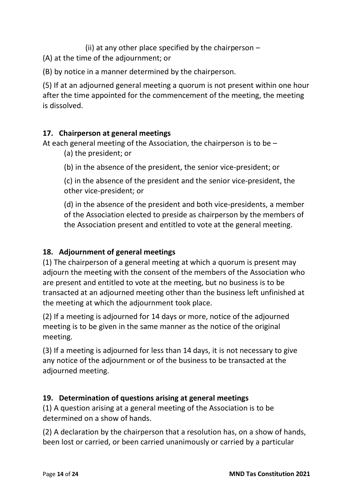(ii) at any other place specified by the chairperson  $-$ 

(A) at the time of the adjournment; or

(B) by notice in a manner determined by the chairperson.

(5) If at an adjourned general meeting a quorum is not present within one hour after the time appointed for the commencement of the meeting, the meeting is dissolved.

## **17. Chairperson at general meetings**

At each general meeting of the Association, the chairperson is to be –

(a) the president; or

(b) in the absence of the president, the senior vice-president; or

(c) in the absence of the president and the senior vice-president, the other vice-president; or

(d) in the absence of the president and both vice-presidents, a member of the Association elected to preside as chairperson by the members of the Association present and entitled to vote at the general meeting.

# **18. Adjournment of general meetings**

(1) The chairperson of a general meeting at which a quorum is present may adjourn the meeting with the consent of the members of the Association who are present and entitled to vote at the meeting, but no business is to be transacted at an adjourned meeting other than the business left unfinished at the meeting at which the adjournment took place.

(2) If a meeting is adjourned for 14 days or more, notice of the adjourned meeting is to be given in the same manner as the notice of the original meeting.

(3) If a meeting is adjourned for less than 14 days, it is not necessary to give any notice of the adjournment or of the business to be transacted at the adjourned meeting.

# **19. Determination of questions arising at general meetings**

(1) A question arising at a general meeting of the Association is to be determined on a show of hands.

(2) A declaration by the chairperson that a resolution has, on a show of hands, been lost or carried, or been carried unanimously or carried by a particular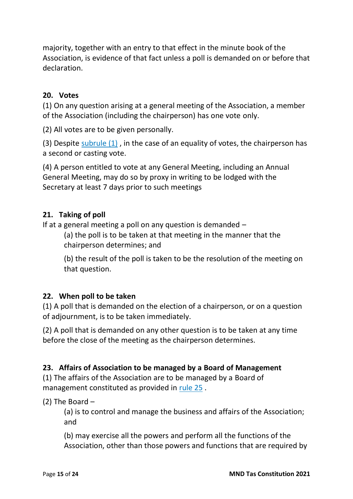majority, together with an entry to that effect in the minute book of the Association, is evidence of that fact unless a poll is demanded on or before that declaration.

#### **20. Votes**

(1) On any question arising at a general meeting of the Association, a member of the Association (including the chairperson) has one vote only.

(2) All votes are to be given personally.

(3) Despite [subrule](https://www.legislation.tas.gov.au/view/whole/html/inforce/current/sr-2017-072?query=((PrintType%3D%22act.reprint%22+AND+Amending%3C%3E%22pure%22+AND+PitValid%3D%40pointInTime(20180129000000))+OR+(PrintType%3D%22act.reprint%22+AND+Amending%3D%22pure%22+AND+PitValid%3D%40pointInTime(20180129000000))+OR+(PrintType%3D%22reprint%22+AND+Amending%3C%3E%22pure%22+AND+PitValid%3D%40pointInTime(20180129000000))+OR+(PrintType%3D%22reprint%22+AND+Amending%3D%22pure%22+AND+PitValid%3D%40pointInTime(20180129000000)))+AND+Title%3D(%22association%22+AND+%22model%22+AND+%22rules%22)&dQuery=Document+Types%3D%22%3Cspan+class%3D) (1) , in the case of an equality of votes, the chairperson has a second or casting vote.

(4) A person entitled to vote at any General Meeting, including an Annual General Meeting, may do so by proxy in writing to be lodged with the Secretary at least 7 days prior to such meetings

#### **21. Taking of poll**

If at a general meeting a poll on any question is demanded –

(a) the poll is to be taken at that meeting in the manner that the chairperson determines; and

(b) the result of the poll is taken to be the resolution of the meeting on that question.

#### **22. When poll to be taken**

(1) A poll that is demanded on the election of a chairperson, or on a question of adjournment, is to be taken immediately.

(2) A poll that is demanded on any other question is to be taken at any time before the close of the meeting as the chairperson determines.

#### **23. Affairs of Association to be managed by a Board of Management**

(1) The affairs of the Association are to be managed by a Board of management constituted as provided in [rule](https://www.legislation.tas.gov.au/view/whole/html/inforce/current/sr-2017-072?query=((PrintType%3D%22act.reprint%22+AND+Amending%3C%3E%22pure%22+AND+PitValid%3D%40pointInTime(20180129000000))+OR+(PrintType%3D%22act.reprint%22+AND+Amending%3D%22pure%22+AND+PitValid%3D%40pointInTime(20180129000000))+OR+(PrintType%3D%22reprint%22+AND+Amending%3C%3E%22pure%22+AND+PitValid%3D%40pointInTime(20180129000000))+OR+(PrintType%3D%22reprint%22+AND+Amending%3D%22pure%22+AND+PitValid%3D%40pointInTime(20180129000000)))+AND+Title%3D(%22association%22+AND+%22model%22+AND+%22rules%22)&dQuery=Document+Types%3D%22%3Cspan+class%3D) 25 .

(2) The Board –

(a) is to control and manage the business and affairs of the Association; and

(b) may exercise all the powers and perform all the functions of the Association, other than those powers and functions that are required by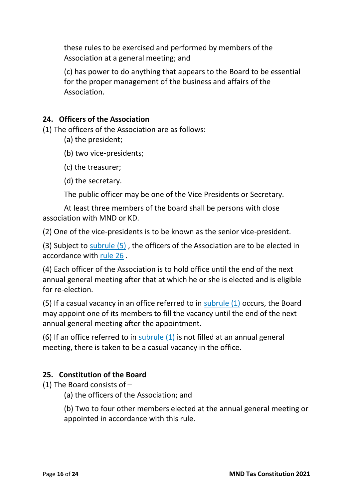these rules to be exercised and performed by members of the Association at a general meeting; and

(c) has power to do anything that appears to the Board to be essential for the proper management of the business and affairs of the Association.

#### **24. Officers of the Association**

(1) The officers of the Association are as follows:

- (a) the president;
- (b) two vice-presidents;
- (c) the treasurer;
- (d) the secretary.

The public officer may be one of the Vice Presidents or Secretary.

At least three members of the board shall be persons with close association with MND or KD.

(2) One of the vice-presidents is to be known as the senior vice-president.

(3) Subject to [subrule](https://www.legislation.tas.gov.au/view/whole/html/inforce/current/sr-2017-072?query=((PrintType%3D%22act.reprint%22+AND+Amending%3C%3E%22pure%22+AND+PitValid%3D%40pointInTime(20180129000000))+OR+(PrintType%3D%22act.reprint%22+AND+Amending%3D%22pure%22+AND+PitValid%3D%40pointInTime(20180129000000))+OR+(PrintType%3D%22reprint%22+AND+Amending%3C%3E%22pure%22+AND+PitValid%3D%40pointInTime(20180129000000))+OR+(PrintType%3D%22reprint%22+AND+Amending%3D%22pure%22+AND+PitValid%3D%40pointInTime(20180129000000)))+AND+Title%3D(%22association%22+AND+%22model%22+AND+%22rules%22)&dQuery=Document+Types%3D%22%3Cspan+class%3D) (5) , the officers of the Association are to be elected in accordance with [rule](https://www.legislation.tas.gov.au/view/whole/html/inforce/current/sr-2017-072?query=((PrintType%3D%22act.reprint%22+AND+Amending%3C%3E%22pure%22+AND+PitValid%3D%40pointInTime(20180129000000))+OR+(PrintType%3D%22act.reprint%22+AND+Amending%3D%22pure%22+AND+PitValid%3D%40pointInTime(20180129000000))+OR+(PrintType%3D%22reprint%22+AND+Amending%3C%3E%22pure%22+AND+PitValid%3D%40pointInTime(20180129000000))+OR+(PrintType%3D%22reprint%22+AND+Amending%3D%22pure%22+AND+PitValid%3D%40pointInTime(20180129000000)))+AND+Title%3D(%22association%22+AND+%22model%22+AND+%22rules%22)&dQuery=Document+Types%3D%22%3Cspan+class%3D) 26 .

(4) Each officer of the Association is to hold office until the end of the next annual general meeting after that at which he or she is elected and is eligible for re-election.

(5) If a casual vacancy in an office referred to in [subrule](https://www.legislation.tas.gov.au/view/whole/html/inforce/current/sr-2017-072?query=((PrintType%3D%22act.reprint%22+AND+Amending%3C%3E%22pure%22+AND+PitValid%3D%40pointInTime(20180129000000))+OR+(PrintType%3D%22act.reprint%22+AND+Amending%3D%22pure%22+AND+PitValid%3D%40pointInTime(20180129000000))+OR+(PrintType%3D%22reprint%22+AND+Amending%3C%3E%22pure%22+AND+PitValid%3D%40pointInTime(20180129000000))+OR+(PrintType%3D%22reprint%22+AND+Amending%3D%22pure%22+AND+PitValid%3D%40pointInTime(20180129000000)))+AND+Title%3D(%22association%22+AND+%22model%22+AND+%22rules%22)&dQuery=Document+Types%3D%22%3Cspan+class%3D) (1) occurs, the Board may appoint one of its members to fill the vacancy until the end of the next annual general meeting after the appointment.

(6) If an office referred to in [subrule](https://www.legislation.tas.gov.au/view/whole/html/inforce/current/sr-2017-072?query=((PrintType%3D%22act.reprint%22+AND+Amending%3C%3E%22pure%22+AND+PitValid%3D%40pointInTime(20180129000000))+OR+(PrintType%3D%22act.reprint%22+AND+Amending%3D%22pure%22+AND+PitValid%3D%40pointInTime(20180129000000))+OR+(PrintType%3D%22reprint%22+AND+Amending%3C%3E%22pure%22+AND+PitValid%3D%40pointInTime(20180129000000))+OR+(PrintType%3D%22reprint%22+AND+Amending%3D%22pure%22+AND+PitValid%3D%40pointInTime(20180129000000)))+AND+Title%3D(%22association%22+AND+%22model%22+AND+%22rules%22)&dQuery=Document+Types%3D%22%3Cspan+class%3D)  $(1)$  is not filled at an annual general meeting, there is taken to be a casual vacancy in the office.

# **25. Constitution of the Board**

(1) The Board consists of –

(a) the officers of the Association; and

(b) Two to four other members elected at the annual general meeting or appointed in accordance with this rule.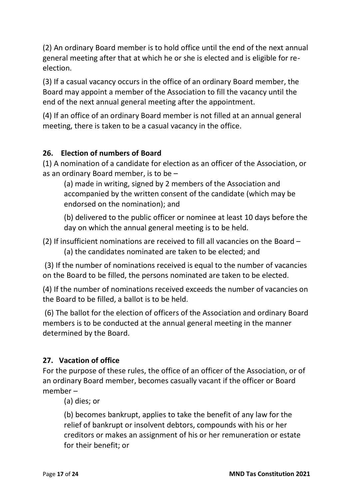(2) An ordinary Board member is to hold office until the end of the next annual general meeting after that at which he or she is elected and is eligible for reelection.

(3) If a casual vacancy occurs in the office of an ordinary Board member, the Board may appoint a member of the Association to fill the vacancy until the end of the next annual general meeting after the appointment.

(4) If an office of an ordinary Board member is not filled at an annual general meeting, there is taken to be a casual vacancy in the office.

# **26. Election of numbers of Board**

(1) A nomination of a candidate for election as an officer of the Association, or as an ordinary Board member, is to be –

(a) made in writing, signed by 2 members of the Association and accompanied by the written consent of the candidate (which may be endorsed on the nomination); and

(b) delivered to the public officer or nominee at least 10 days before the day on which the annual general meeting is to be held.

(2) If insufficient nominations are received to fill all vacancies on the Board – (a) the candidates nominated are taken to be elected; and

(3) If the number of nominations received is equal to the number of vacancies on the Board to be filled, the persons nominated are taken to be elected.

(4) If the number of nominations received exceeds the number of vacancies on the Board to be filled, a ballot is to be held.

(6) The ballot for the election of officers of the Association and ordinary Board members is to be conducted at the annual general meeting in the manner determined by the Board.

# **27. Vacation of office**

For the purpose of these rules, the office of an officer of the Association, or of an ordinary Board member, becomes casually vacant if the officer or Board member –

(a) dies; or

(b) becomes bankrupt, applies to take the benefit of any law for the relief of bankrupt or insolvent debtors, compounds with his or her creditors or makes an assignment of his or her remuneration or estate for their benefit; or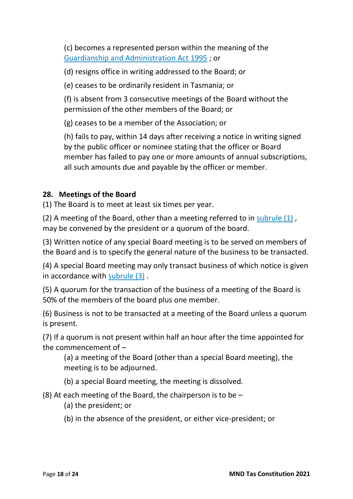(c) becomes a represented person within the meaning of the [Guardianship and Administration Act 1995](https://www.legislation.tas.gov.au/view/html/inforce/2017-12-26/act-1995-044) ; or

(d) resigns office in writing addressed to the Board; or

(e) ceases to be ordinarily resident in Tasmania; or

(f) is absent from 3 consecutive meetings of the Board without the permission of the other members of the Board; or

(g) ceases to be a member of the Association; or

(h) fails to pay, within 14 days after receiving a notice in writing signed by the public officer or nominee stating that the officer or Board member has failed to pay one or more amounts of annual subscriptions, all such amounts due and payable by the officer or member.

## **28. Meetings of the Board**

(1) The Board is to meet at least six times per year.

(2) A meeting of the Board, other than a meeting referred to in [subrule](https://www.legislation.tas.gov.au/view/whole/html/inforce/current/sr-2017-072?query=((PrintType%3D%22act.reprint%22+AND+Amending%3C%3E%22pure%22+AND+PitValid%3D%40pointInTime(20180129000000))+OR+(PrintType%3D%22act.reprint%22+AND+Amending%3D%22pure%22+AND+PitValid%3D%40pointInTime(20180129000000))+OR+(PrintType%3D%22reprint%22+AND+Amending%3C%3E%22pure%22+AND+PitValid%3D%40pointInTime(20180129000000))+OR+(PrintType%3D%22reprint%22+AND+Amending%3D%22pure%22+AND+PitValid%3D%40pointInTime(20180129000000)))+AND+Title%3D(%22association%22+AND+%22model%22+AND+%22rules%22)&dQuery=Document+Types%3D%22%3Cspan+class%3D) (1) , may be convened by the president or a quorum of the board.

(3) Written notice of any special Board meeting is to be served on members of the Board and is to specify the general nature of the business to be transacted.

(4) A special Board meeting may only transact business of which notice is given in accordance with [subrule](https://www.legislation.tas.gov.au/view/whole/html/inforce/current/sr-2017-072?query=((PrintType%3D%22act.reprint%22+AND+Amending%3C%3E%22pure%22+AND+PitValid%3D%40pointInTime(20180129000000))+OR+(PrintType%3D%22act.reprint%22+AND+Amending%3D%22pure%22+AND+PitValid%3D%40pointInTime(20180129000000))+OR+(PrintType%3D%22reprint%22+AND+Amending%3C%3E%22pure%22+AND+PitValid%3D%40pointInTime(20180129000000))+OR+(PrintType%3D%22reprint%22+AND+Amending%3D%22pure%22+AND+PitValid%3D%40pointInTime(20180129000000)))+AND+Title%3D(%22association%22+AND+%22model%22+AND+%22rules%22)&dQuery=Document+Types%3D%22%3Cspan+class%3D) (3) .

(5) A quorum for the transaction of the business of a meeting of the Board is 50% of the members of the board plus one member.

(6) Business is not to be transacted at a meeting of the Board unless a quorum is present.

(7) If a quorum is not present within half an hour after the time appointed for the commencement of –

(a) a meeting of the Board (other than a special Board meeting), the meeting is to be adjourned.

(b) a special Board meeting, the meeting is dissolved.

(8) At each meeting of the Board, the chairperson is to be –

(a) the president; or

(b) in the absence of the president, or either vice-president; or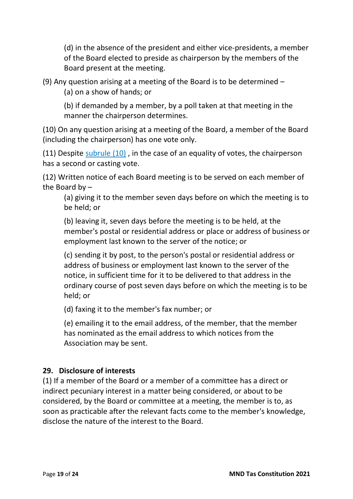(d) in the absence of the president and either vice-presidents, a member of the Board elected to preside as chairperson by the members of the Board present at the meeting.

(9) Any question arising at a meeting of the Board is to be determined –

(a) on a show of hands; or

(b) if demanded by a member, by a poll taken at that meeting in the manner the chairperson determines.

(10) On any question arising at a meeting of the Board, a member of the Board (including the chairperson) has one vote only.

(11) Despite [subrule](https://www.legislation.tas.gov.au/view/whole/html/inforce/current/sr-2017-072?query=((PrintType%3D%22act.reprint%22+AND+Amending%3C%3E%22pure%22+AND+PitValid%3D%40pointInTime(20180129000000))+OR+(PrintType%3D%22act.reprint%22+AND+Amending%3D%22pure%22+AND+PitValid%3D%40pointInTime(20180129000000))+OR+(PrintType%3D%22reprint%22+AND+Amending%3C%3E%22pure%22+AND+PitValid%3D%40pointInTime(20180129000000))+OR+(PrintType%3D%22reprint%22+AND+Amending%3D%22pure%22+AND+PitValid%3D%40pointInTime(20180129000000)))+AND+Title%3D(%22association%22+AND+%22model%22+AND+%22rules%22)&dQuery=Document+Types%3D%22%3Cspan+class%3D) (10) , in the case of an equality of votes, the chairperson has a second or casting vote.

(12) Written notice of each Board meeting is to be served on each member of the Board by –

(a) giving it to the member seven days before on which the meeting is to be held; or

(b) leaving it, seven days before the meeting is to be held, at the member's postal or residential address or place or address of business or employment last known to the server of the notice; or

(c) sending it by post, to the person's postal or residential address or address of business or employment last known to the server of the notice, in sufficient time for it to be delivered to that address in the ordinary course of post seven days before on which the meeting is to be held; or

(d) faxing it to the member's fax number; or

(e) emailing it to the email address, of the member, that the member has nominated as the email address to which notices from the Association may be sent.

# **29. Disclosure of interests**

(1) If a member of the Board or a member of a committee has a direct or indirect pecuniary interest in a matter being considered, or about to be considered, by the Board or committee at a meeting, the member is to, as soon as practicable after the relevant facts come to the member's knowledge, disclose the nature of the interest to the Board.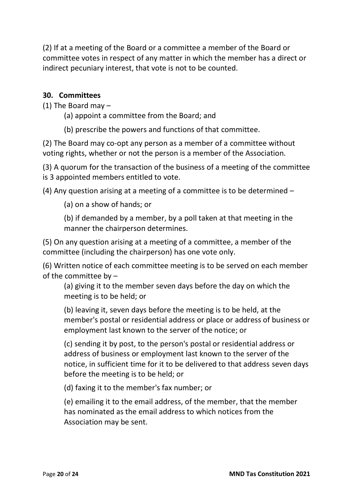(2) If at a meeting of the Board or a committee a member of the Board or committee votes in respect of any matter in which the member has a direct or indirect pecuniary interest, that vote is not to be counted.

#### **30. Committees**

(1) The Board may –

- (a) appoint a committee from the Board; and
- (b) prescribe the powers and functions of that committee.

(2) The Board may co-opt any person as a member of a committee without voting rights, whether or not the person is a member of the Association.

(3) A quorum for the transaction of the business of a meeting of the committee is 3 appointed members entitled to vote.

(4) Any question arising at a meeting of a committee is to be determined –

(a) on a show of hands; or

(b) if demanded by a member, by a poll taken at that meeting in the manner the chairperson determines.

(5) On any question arising at a meeting of a committee, a member of the committee (including the chairperson) has one vote only.

(6) Written notice of each committee meeting is to be served on each member of the committee by –

(a) giving it to the member seven days before the day on which the meeting is to be held; or

(b) leaving it, seven days before the meeting is to be held, at the member's postal or residential address or place or address of business or employment last known to the server of the notice; or

(c) sending it by post, to the person's postal or residential address or address of business or employment last known to the server of the notice, in sufficient time for it to be delivered to that address seven days before the meeting is to be held; or

(d) faxing it to the member's fax number; or

(e) emailing it to the email address, of the member, that the member has nominated as the email address to which notices from the Association may be sent.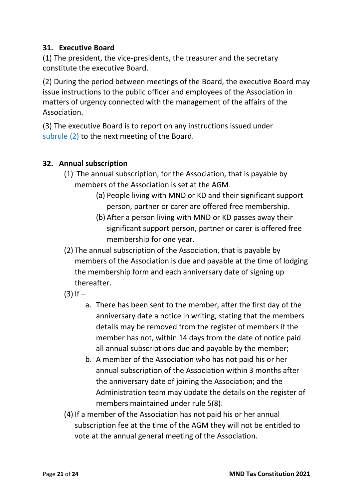#### **31. Executive Board**

(1) The president, the vice-presidents, the treasurer and the secretary constitute the executive Board.

(2) During the period between meetings of the Board, the executive Board may issue instructions to the public officer and employees of the Association in matters of urgency connected with the management of the affairs of the Association.

(3) The executive Board is to report on any instructions issued under [subrule](https://www.legislation.tas.gov.au/view/whole/html/inforce/current/sr-2017-072?query=((PrintType%3D%22act.reprint%22+AND+Amending%3C%3E%22pure%22+AND+PitValid%3D%40pointInTime(20180129000000))+OR+(PrintType%3D%22act.reprint%22+AND+Amending%3D%22pure%22+AND+PitValid%3D%40pointInTime(20180129000000))+OR+(PrintType%3D%22reprint%22+AND+Amending%3C%3E%22pure%22+AND+PitValid%3D%40pointInTime(20180129000000))+OR+(PrintType%3D%22reprint%22+AND+Amending%3D%22pure%22+AND+PitValid%3D%40pointInTime(20180129000000)))+AND+Title%3D(%22association%22+AND+%22model%22+AND+%22rules%22)&dQuery=Document+Types%3D%22%3Cspan+class%3D) (2) to the next meeting of the Board.

# **32. Annual subscription**

- (1) The annual subscription, for the Association, that is payable by members of the Association is set at the AGM.
	- (a) People living with MND or KD and their significant support person, partner or carer are offered free membership.
	- (b) After a person living with MND or KD passes away their significant support person, partner or carer is offered free membership for one year.
- (2) The annual subscription of the Association, that is payable by members of the Association is due and payable at the time of lodging the membership form and each anniversary date of signing up thereafter.
- $(3)$  If  $$ 
	- a. There has been sent to the member, after the first day of the anniversary date a notice in writing, stating that the members details may be removed from the register of members if the member has not, within 14 days from the date of notice paid all annual subscriptions due and payable by the member;
	- b. A member of the Association who has not paid his or her annual subscription of the Association within 3 months after the anniversary date of joining the Association; and the Administration team may update the details on the register of members maintained under rule 5(8).
- (4) If a member of the Association has not paid his or her annual subscription fee at the time of the AGM they will not be entitled to vote at the annual general meeting of the Association.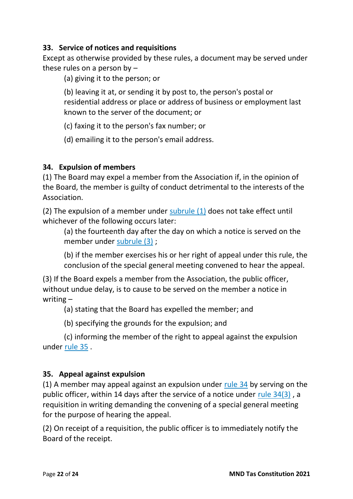#### **33. Service of notices and requisitions**

Except as otherwise provided by these rules, a document may be served under these rules on a person by –

(a) giving it to the person; or

(b) leaving it at, or sending it by post to, the person's postal or residential address or place or address of business or employment last known to the server of the document; or

(c) faxing it to the person's fax number; or

(d) emailing it to the person's email address.

## **34. Expulsion of members**

(1) The Board may expel a member from the Association if, in the opinion of the Board, the member is guilty of conduct detrimental to the interests of the Association.

(2) The expulsion of a member under [subrule](https://www.legislation.tas.gov.au/view/whole/html/inforce/current/sr-2017-072?query=((PrintType%3D%22act.reprint%22+AND+Amending%3C%3E%22pure%22+AND+PitValid%3D%40pointInTime(20180129000000))+OR+(PrintType%3D%22act.reprint%22+AND+Amending%3D%22pure%22+AND+PitValid%3D%40pointInTime(20180129000000))+OR+(PrintType%3D%22reprint%22+AND+Amending%3C%3E%22pure%22+AND+PitValid%3D%40pointInTime(20180129000000))+OR+(PrintType%3D%22reprint%22+AND+Amending%3D%22pure%22+AND+PitValid%3D%40pointInTime(20180129000000)))+AND+Title%3D(%22association%22+AND+%22model%22+AND+%22rules%22)&dQuery=Document+Types%3D%22%3Cspan+class%3D) (1) does not take effect until whichever of the following occurs later:

(a) the fourteenth day after the day on which a notice is served on the member under [subrule](https://www.legislation.tas.gov.au/view/whole/html/inforce/current/sr-2017-072?query=((PrintType%3D%22act.reprint%22+AND+Amending%3C%3E%22pure%22+AND+PitValid%3D%40pointInTime(20180129000000))+OR+(PrintType%3D%22act.reprint%22+AND+Amending%3D%22pure%22+AND+PitValid%3D%40pointInTime(20180129000000))+OR+(PrintType%3D%22reprint%22+AND+Amending%3C%3E%22pure%22+AND+PitValid%3D%40pointInTime(20180129000000))+OR+(PrintType%3D%22reprint%22+AND+Amending%3D%22pure%22+AND+PitValid%3D%40pointInTime(20180129000000)))+AND+Title%3D(%22association%22+AND+%22model%22+AND+%22rules%22)&dQuery=Document+Types%3D%22%3Cspan+class%3D) (3) ;

(b) if the member exercises his or her right of appeal under this rule, the conclusion of the special general meeting convened to hear the appeal.

(3) If the Board expels a member from the Association, the public officer, without undue delay, is to cause to be served on the member a notice in writing –

(a) stating that the Board has expelled the member; and

(b) specifying the grounds for the expulsion; and

(c) informing the member of the right to appeal against the expulsion under [rule](https://www.legislation.tas.gov.au/view/whole/html/inforce/current/sr-2017-072?query=((PrintType%3D%22act.reprint%22+AND+Amending%3C%3E%22pure%22+AND+PitValid%3D%40pointInTime(20180129000000))+OR+(PrintType%3D%22act.reprint%22+AND+Amending%3D%22pure%22+AND+PitValid%3D%40pointInTime(20180129000000))+OR+(PrintType%3D%22reprint%22+AND+Amending%3C%3E%22pure%22+AND+PitValid%3D%40pointInTime(20180129000000))+OR+(PrintType%3D%22reprint%22+AND+Amending%3D%22pure%22+AND+PitValid%3D%40pointInTime(20180129000000)))+AND+Title%3D(%22association%22+AND+%22model%22+AND+%22rules%22)&dQuery=Document+Types%3D%22%3Cspan+class%3D) 35 .

# **35. Appeal against expulsion**

(1) A member may appeal against an expulsion under [rule](https://www.legislation.tas.gov.au/view/whole/html/inforce/current/sr-2017-072?query=((PrintType%3D%22act.reprint%22+AND+Amending%3C%3E%22pure%22+AND+PitValid%3D%40pointInTime(20180129000000))+OR+(PrintType%3D%22act.reprint%22+AND+Amending%3D%22pure%22+AND+PitValid%3D%40pointInTime(20180129000000))+OR+(PrintType%3D%22reprint%22+AND+Amending%3C%3E%22pure%22+AND+PitValid%3D%40pointInTime(20180129000000))+OR+(PrintType%3D%22reprint%22+AND+Amending%3D%22pure%22+AND+PitValid%3D%40pointInTime(20180129000000)))+AND+Title%3D(%22association%22+AND+%22model%22+AND+%22rules%22)&dQuery=Document+Types%3D%22%3Cspan+class%3D) 34 by serving on the public officer, within 14 days after the service of a notice under rule [34\(3\)](https://www.legislation.tas.gov.au/view/whole/html/inforce/current/sr-2017-072?query=((PrintType%3D%22act.reprint%22+AND+Amending%3C%3E%22pure%22+AND+PitValid%3D%40pointInTime(20180129000000))+OR+(PrintType%3D%22act.reprint%22+AND+Amending%3D%22pure%22+AND+PitValid%3D%40pointInTime(20180129000000))+OR+(PrintType%3D%22reprint%22+AND+Amending%3C%3E%22pure%22+AND+PitValid%3D%40pointInTime(20180129000000))+OR+(PrintType%3D%22reprint%22+AND+Amending%3D%22pure%22+AND+PitValid%3D%40pointInTime(20180129000000)))+AND+Title%3D(%22association%22+AND+%22model%22+AND+%22rules%22)&dQuery=Document+Types%3D%22%3Cspan+class%3D) , a requisition in writing demanding the convening of a special general meeting for the purpose of hearing the appeal.

(2) On receipt of a requisition, the public officer is to immediately notify the Board of the receipt.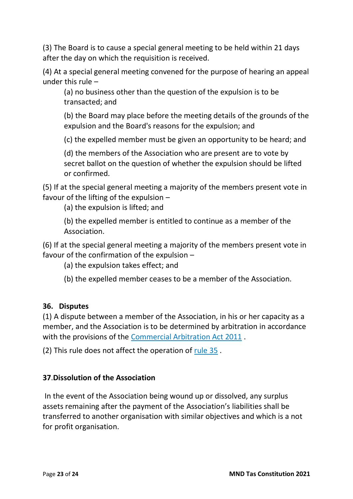(3) The Board is to cause a special general meeting to be held within 21 days after the day on which the requisition is received.

(4) At a special general meeting convened for the purpose of hearing an appeal under this rule –

(a) no business other than the question of the expulsion is to be transacted; and

(b) the Board may place before the meeting details of the grounds of the expulsion and the Board's reasons for the expulsion; and

(c) the expelled member must be given an opportunity to be heard; and

(d) the members of the Association who are present are to vote by secret ballot on the question of whether the expulsion should be lifted or confirmed.

(5) If at the special general meeting a majority of the members present vote in favour of the lifting of the expulsion –

(a) the expulsion is lifted; and

(b) the expelled member is entitled to continue as a member of the Association.

(6) If at the special general meeting a majority of the members present vote in favour of the confirmation of the expulsion –

(a) the expulsion takes effect; and

(b) the expelled member ceases to be a member of the Association.

#### **36. Disputes**

(1) A dispute between a member of the Association, in his or her capacity as a member, and the Association is to be determined by arbitration in accordance with the provisions of the [Commercial Arbitration Act 2011](https://www.legislation.tas.gov.au/view/html/inforce/2017-12-26/act-2011-013) .

(2) This rule does not affect the operation of [rule](https://www.legislation.tas.gov.au/view/whole/html/inforce/current/sr-2017-072?query=((PrintType%3D%22act.reprint%22+AND+Amending%3C%3E%22pure%22+AND+PitValid%3D%40pointInTime(20180129000000))+OR+(PrintType%3D%22act.reprint%22+AND+Amending%3D%22pure%22+AND+PitValid%3D%40pointInTime(20180129000000))+OR+(PrintType%3D%22reprint%22+AND+Amending%3C%3E%22pure%22+AND+PitValid%3D%40pointInTime(20180129000000))+OR+(PrintType%3D%22reprint%22+AND+Amending%3D%22pure%22+AND+PitValid%3D%40pointInTime(20180129000000)))+AND+Title%3D(%22association%22+AND+%22model%22+AND+%22rules%22)&dQuery=Document+Types%3D%22%3Cspan+class%3D) 35 .

# **37**.**Dissolution of the Association**

In the event of the Association being wound up or dissolved, any surplus assets remaining after the payment of the Association's liabilities shall be transferred to another organisation with similar objectives and which is a not for profit organisation.